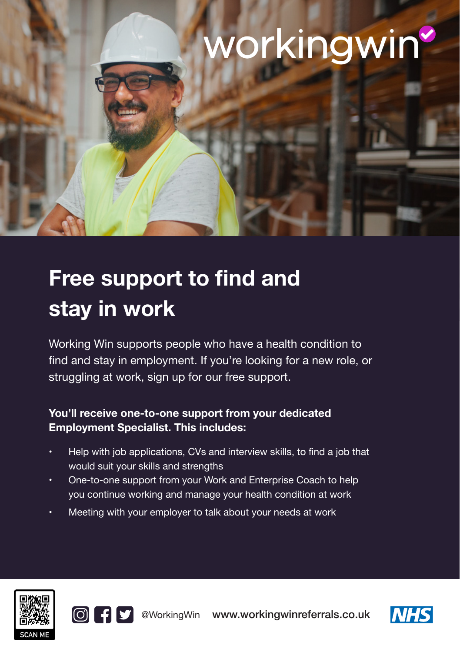# workingwin

employment trial

# **Free support to find and stay in work**

Working Win supports people who have a health condition to find and stay in employment. If you're looking for a new role, or struggling at work, sign up for our free support.

## **You'll receive one-to-one support from your dedicated Employment Specialist. This includes:**

- Help with job applications, CVs and interview skills, to find a job that would suit your skills and strengths
- One-to-one support from your Work and Enterprise Coach to help you continue working and manage your health condition at work
- Meeting with your employer to talk about your needs at work





@WorkingWin www.workingwinreferrals.co.uk